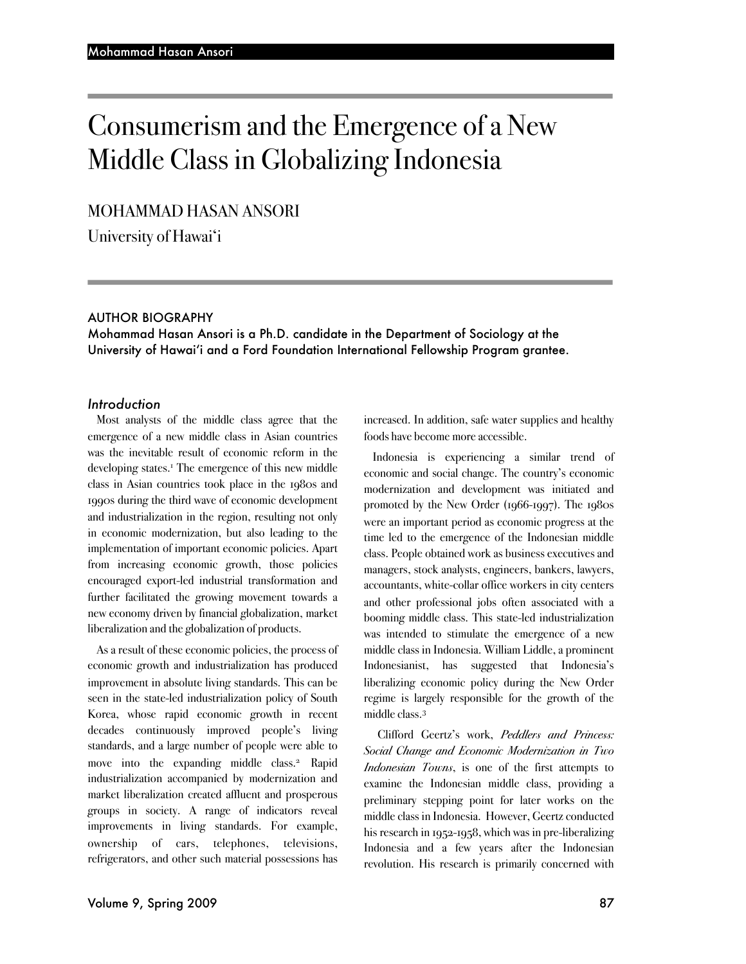# Consumerism and the Emergence of a New Middle Class in Globalizing Indonesia

# MOHAMMAD HASAN ANSORI

University of Hawai'i

#### AUTHOR BIOGRAPHY

Mohammad Hasan Ansori is a Ph.D. candidate in the Department of Sociology at the University of Hawai'i and a Ford Foundation International Fellowship Program grantee.

#### *Introduction*

Most analysts of the middle class agree that the emergence of a new middle class in Asian countries was the inevitable result of economic reform in the developing states.<sup>1</sup> The emergence of this new middle class in Asian countries took place in the 1980s and 1990s during the third wave of economic development and industrialization in the region, resulting not only in economic modernization, but also leading to the implementation of important economic policies. Apart from increasing economic growth, those policies encouraged export-led industrial transformation and further facilitated the growing movement towards a new economy driven by financial globalization, market liberalization and the globalization of products.

As a result of these economic policies, the process of economic growth and industrialization has produced improvement in absolute living standards. This can be seen in the state-led industrialization policy of South Korea, whose rapid economic growth in recent decades continuously improved people's living standards, and a large number of people were able to move into the expanding middle class.<sup>2</sup> Rapid industrialization accompanied by modernization and market liberalization created affluent and prosperous groups in society. A range of indicators reveal improvements in living standards. For example, ownership of cars, telephones, televisions, refrigerators, and other such material possessions has

increased. In addition, safe water supplies and healthy foods have become more accessible.

Indonesia is experiencing a similar trend of economic and social change. The country's economic modernization and development was initiated and promoted by the New Order (1966-1997). The 1980s were an important period as economic progress at the time led to the emergence of the Indonesian middle class. People obtained work as business executives and managers, stock analysts, engineers, bankers, lawyers, accountants, white-collar office workers in city centers and other professional jobs often associated with a booming middle class. This state-led industrialization was intended to stimulate the emergence of a new middle class in Indonesia. William Liddle, a prominent Indonesianist, has suggested that Indonesia's liberalizing economic policy during the New Order regime is largely responsible for the growth of the middle class.3

Clifford Geertz's work, *Peddlers and Princess: Social Change and Economic Modernization in Two Indonesian Towns*, is one of the first attempts to examine the Indonesian middle class, providing a preliminary stepping point for later works on the middle class in Indonesia. However, Geertz conducted his research in 1952-1958, which was in pre-liberalizing Indonesia and a few years after the Indonesian revolution. His research is primarily concerned with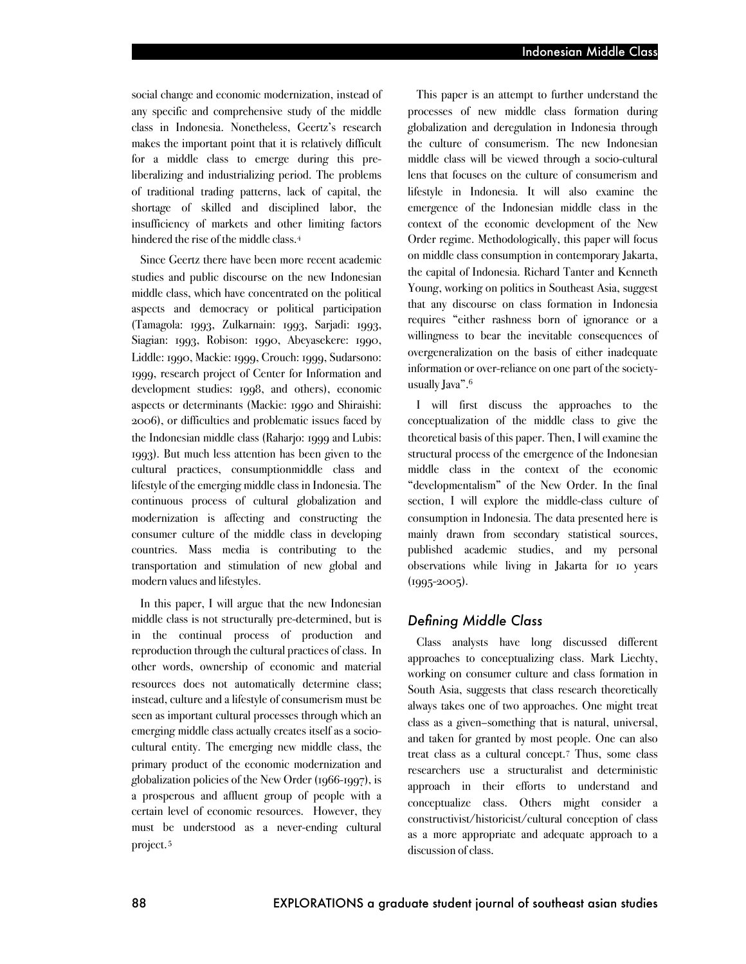social change and economic modernization, instead of any specific and comprehensive study of the middle class in Indonesia. Nonetheless, Geertz's research makes the important point that it is relatively difficult for a middle class to emerge during this preliberalizing and industrializing period. The problems of traditional trading patterns, lack of capital, the shortage of skilled and disciplined labor, the insufficiency of markets and other limiting factors hindered the rise of the middle class.4

Since Geertz there have been more recent academic studies and public discourse on the new Indonesian middle class, which have concentrated on the political aspects and democracy or political participation (Tamagola: 1993, Zulkarnain: 1993, Sarjadi: 1993, Siagian: 1993, Robison: 1990, Abeyasekere: 1990, Liddle: 1990, Mackie: 1999, Crouch: 1999, Sudarsono: 1999, research project of Center for Information and development studies: 1998, and others), economic aspects or determinants (Mackie: 1990 and Shiraishi: 2006), or difficulties and problematic issues faced by the Indonesian middle class (Raharjo: 1999 and Lubis: 1993). But much less attention has been given to the cultural practices, consumptionmiddle class and lifestyle of the emerging middle class in Indonesia. The continuous process of cultural globalization and modernization is affecting and constructing the consumer culture of the middle class in developing countries. Mass media is contributing to the transportation and stimulation of new global and modern values and lifestyles.

In this paper, I will argue that the new Indonesian middle class is not structurally pre-determined, but is in the continual process of production and reproduction through the cultural practices of class. In other words, ownership of economic and material resources does not automatically determine class; instead, culture and a lifestyle of consumerism must be seen as important cultural processes through which an emerging middle class actually creates itself as a sociocultural entity. The emerging new middle class, the primary product of the economic modernization and globalization policies of the New Order (1966-1997), is a prosperous and affluent group of people with a certain level of economic resources. However, they must be understood as a never-ending cultural project.5

This paper is an attempt to further understand the processes of new middle class formation during globalization and deregulation in Indonesia through the culture of consumerism. The new Indonesian middle class will be viewed through a socio-cultural lens that focuses on the culture of consumerism and lifestyle in Indonesia. It will also examine the emergence of the Indonesian middle class in the context of the economic development of the New Order regime. Methodologically, this paper will focus on middle class consumption in contemporary Jakarta, the capital of Indonesia. Richard Tanter and Kenneth Young, working on politics in Southeast Asia, suggest that any discourse on class formation in Indonesia requires "either rashness born of ignorance or a willingness to bear the inevitable consequences of overgeneralization on the basis of either inadequate information or over-reliance on one part of the societyusually Java".<sup>6</sup>

I will first discuss the approaches to the conceptualization of the middle class to give the theoretical basis of this paper. Then, I will examine the structural process of the emergence of the Indonesian middle class in the context of the economic "developmentalism" of the New Order. In the final section, I will explore the middle-class culture of consumption in Indonesia. The data presented here is mainly drawn from secondary statistical sources, published academic studies, and my personal observations while living in Jakarta for 10 years  $(1995 - 2005)$ .

## *Defining Middle Class*

Class analysts have long discussed different approaches to conceptualizing class. Mark Liechty, working on consumer culture and class formation in South Asia, suggests that class research theoretically always takes one of two approaches. One might treat class as a given–something that is natural, universal, and taken for granted by most people. One can also treat class as a cultural concept.7 Thus, some class researchers use a structuralist and deterministic approach in their efforts to understand and conceptualize class. Others might consider a constructivist/historicist/cultural conception of class as a more appropriate and adequate approach to a discussion of class.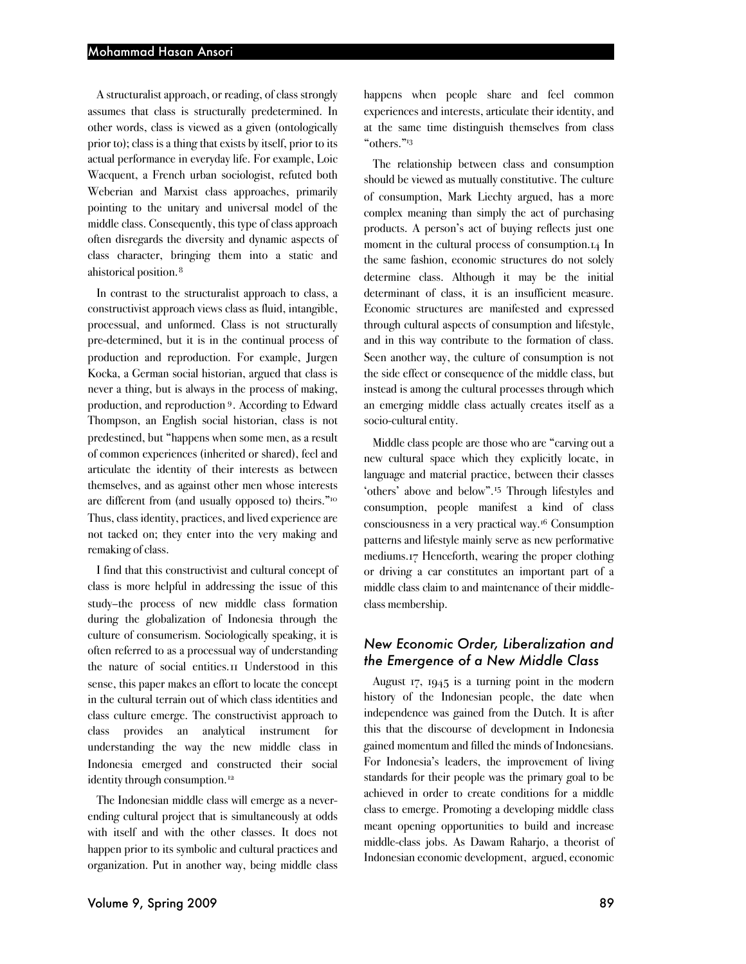A structuralist approach, or reading, of class strongly assumes that class is structurally predetermined. In other words, class is viewed as a given (ontologically prior to); class is a thing that exists by itself, prior to its actual performance in everyday life. For example, Loic Wacquent, a French urban sociologist, refuted both Weberian and Marxist class approaches, primarily pointing to the unitary and universal model of the middle class. Consequently, this type of class approach often disregards the diversity and dynamic aspects of class character, bringing them into a static and ahistorical position. <sup>8</sup>

In contrast to the structuralist approach to class, a constructivist approach views class as fluid, intangible, processual, and unformed. Class is not structurally pre-determined, but it is in the continual process of production and reproduction. For example, Jurgen Kocka, a German social historian, argued that class is never a thing, but is always in the process of making, production, and reproduction 9. According to Edward Thompson, an English social historian, class is not predestined, but "happens when some men, as a result of common experiences (inherited or shared), feel and articulate the identity of their interests as between themselves, and as against other men whose interests are different from (and usually opposed to) theirs."10 Thus, class identity, practices, and lived experience are not tacked on; they enter into the very making and remaking of class.

I find that this constructivist and cultural concept of class is more helpful in addressing the issue of this study–the process of new middle class formation during the globalization of Indonesia through the culture of consumerism. Sociologically speaking, it is often referred to as a processual way of understanding the nature of social entities.11 Understood in this sense, this paper makes an effort to locate the concept in the cultural terrain out of which class identities and class culture emerge. The constructivist approach to class provides an analytical instrument for understanding the way the new middle class in Indonesia emerged and constructed their social identity through consumption.<sup>12</sup>

The Indonesian middle class will emerge as a neverending cultural project that is simultaneously at odds with itself and with the other classes. It does not happen prior to its symbolic and cultural practices and organization. Put in another way, being middle class

happens when people share and feel common experiences and interests, articulate their identity, and at the same time distinguish themselves from class "others."13

The relationship between class and consumption should be viewed as mutually constitutive. The culture of consumption, Mark Liechty argued, has a more complex meaning than simply the act of purchasing products. A person's act of buying reflects just one moment in the cultural process of consumption.14 In the same fashion, economic structures do not solely determine class. Although it may be the initial determinant of class, it is an insufficient measure. Economic structures are manifested and expressed through cultural aspects of consumption and lifestyle, and in this way contribute to the formation of class. Seen another way, the culture of consumption is not the side effect or consequence of the middle class, but instead is among the cultural processes through which an emerging middle class actually creates itself as a socio-cultural entity.

Middle class people are those who are "carving out a new cultural space which they explicitly locate, in language and material practice, between their classes 'others' above and below".<sup>15</sup> Through lifestyles and consumption, people manifest a kind of class consciousness in a very practical way.16 Consumption patterns and lifestyle mainly serve as new performative mediums.17 Henceforth, wearing the proper clothing or driving a car constitutes an important part of a middle class claim to and maintenance of their middleclass membership.

# *New Economic Order, Liberalization and the Emergence of a New Middle Class*

August 17, 1945 is a turning point in the modern history of the Indonesian people, the date when independence was gained from the Dutch. It is after this that the discourse of development in Indonesia gained momentum and filled the minds of Indonesians. For Indonesia's leaders, the improvement of living standards for their people was the primary goal to be achieved in order to create conditions for a middle class to emerge. Promoting a developing middle class meant opening opportunities to build and increase middle-class jobs. As Dawam Raharjo, a theorist of Indonesian economic development, argued, economic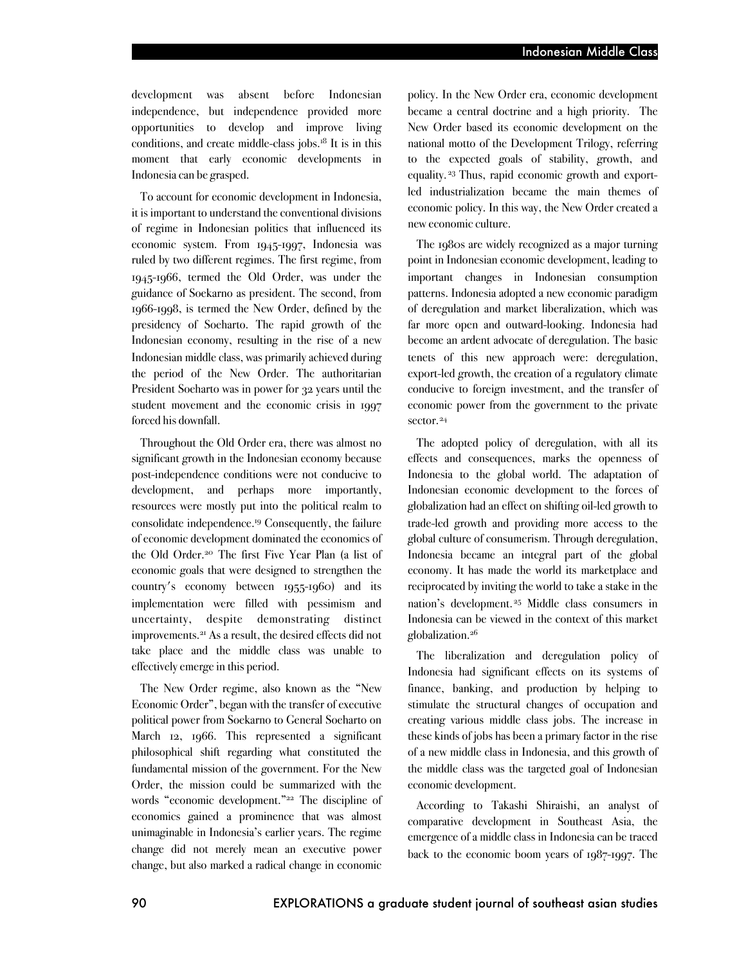development was absent before Indonesian independence, but independence provided more opportunities to develop and improve living conditions, and create middle-class jobs.18 It is in this moment that early economic developments in Indonesia can be grasped.

To account for economic development in Indonesia, it is important to understand the conventional divisions of regime in Indonesian politics that influenced its economic system. From 1945-1997, Indonesia was ruled by two different regimes. The first regime, from 1945-1966, termed the Old Order, was under the guidance of Soekarno as president. The second, from 1966-1998, is termed the New Order, defined by the presidency of Soeharto. The rapid growth of the Indonesian economy, resulting in the rise of a new Indonesian middle class, was primarily achieved during the period of the New Order. The authoritarian President Soeharto was in power for 32 years until the student movement and the economic crisis in 1997 forced his downfall.

Throughout the Old Order era, there was almost no significant growth in the Indonesian economy because post-independence conditions were not conducive to development, and perhaps more importantly, resources were mostly put into the political realm to consolidate independence.19 Consequently, the failure of economic development dominated the economics of the Old Order.20 The first Five Year Plan (a list of economic goals that were designed to strengthen the country's economy between 1955-1960) and its implementation were filled with pessimism and uncertainty, despite demonstrating distinct improvements.21 As a result, the desired effects did not take place and the middle class was unable to effectively emerge in this period.

The New Order regime, also known as the "New Economic Order", began with the transfer of executive political power from Soekarno to General Soeharto on March 12, 1966. This represented a significant philosophical shift regarding what constituted the fundamental mission of the government. For the New Order, the mission could be summarized with the words "economic development."22 The discipline of economics gained a prominence that was almost unimaginable in Indonesia's earlier years. The regime change did not merely mean an executive power change, but also marked a radical change in economic

policy. In the New Order era, economic development became a central doctrine and a high priority. The New Order based its economic development on the national motto of the Development Trilogy, referring to the expected goals of stability, growth, and equality. <sup>23</sup> Thus, rapid economic growth and exportled industrialization became the main themes of economic policy. In this way, the New Order created a new economic culture.

The 1980s are widely recognized as a major turning point in Indonesian economic development, leading to important changes in Indonesian consumption patterns. Indonesia adopted a new economic paradigm of deregulation and market liberalization, which was far more open and outward-looking. Indonesia had become an ardent advocate of deregulation. The basic tenets of this new approach were: deregulation, export-led growth, the creation of a regulatory climate conducive to foreign investment, and the transfer of economic power from the government to the private sector.<sup>24</sup>

The adopted policy of deregulation, with all its effects and consequences, marks the openness of Indonesia to the global world. The adaptation of Indonesian economic development to the forces of globalization had an effect on shifting oil-led growth to trade-led growth and providing more access to the global culture of consumerism. Through deregulation, Indonesia became an integral part of the global economy. It has made the world its marketplace and reciprocated by inviting the world to take a stake in the nation's development. <sup>25</sup> Middle class consumers in Indonesia can be viewed in the context of this market globalization.26

The liberalization and deregulation policy of Indonesia had significant effects on its systems of finance, banking, and production by helping to stimulate the structural changes of occupation and creating various middle class jobs. The increase in these kinds of jobs has been a primary factor in the rise of a new middle class in Indonesia, and this growth of the middle class was the targeted goal of Indonesian economic development.

According to Takashi Shiraishi, an analyst of comparative development in Southeast Asia, the emergence of a middle class in Indonesia can be traced back to the economic boom years of 1987-1997. The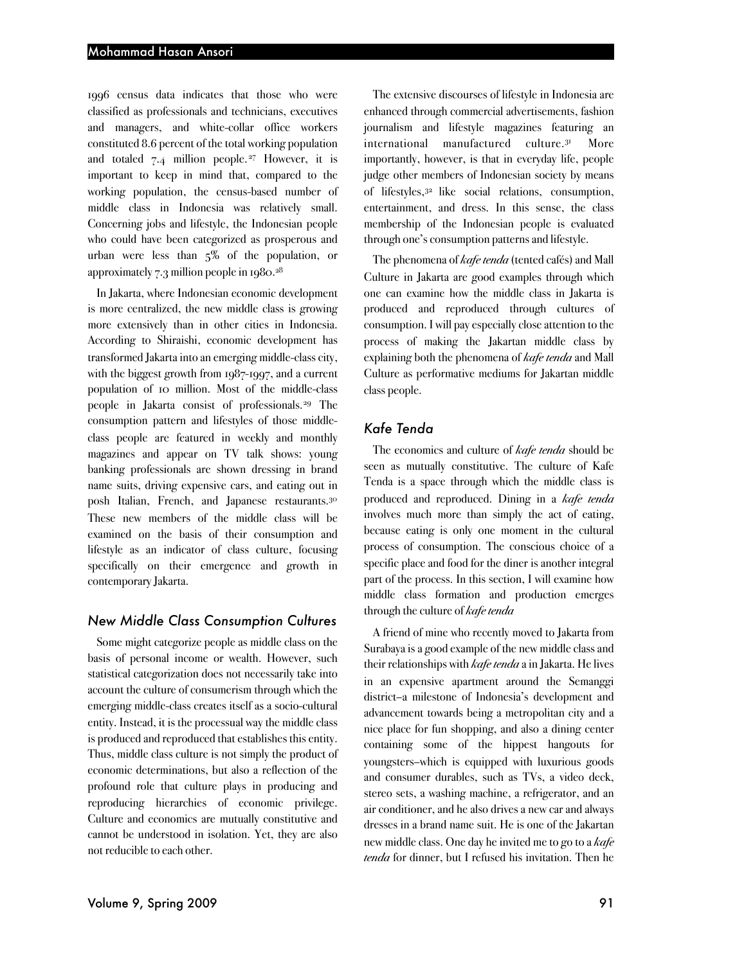1996 census data indicates that those who were classified as professionals and technicians, executives and managers, and white-collar office workers constituted 8.6 percent of the total working population and totaled 7.4 million people.27 However, it is important to keep in mind that, compared to the working population, the census-based number of middle class in Indonesia was relatively small. Concerning jobs and lifestyle, the Indonesian people who could have been categorized as prosperous and urban were less than 5% of the population, or approximately 7.3 million people in 1980.28

In Jakarta, where Indonesian economic development is more centralized, the new middle class is growing more extensively than in other cities in Indonesia. According to Shiraishi, economic development has transformed Jakarta into an emerging middle-class city, with the biggest growth from 1987-1997, and a current population of 10 million. Most of the middle-class people in Jakarta consist of professionals.29 The consumption pattern and lifestyles of those middleclass people are featured in weekly and monthly magazines and appear on TV talk shows: young banking professionals are shown dressing in brand name suits, driving expensive cars, and eating out in posh Italian, French, and Japanese restaurants.<sup>30</sup> These new members of the middle class will be examined on the basis of their consumption and lifestyle as an indicator of class culture, focusing specifically on their emergence and growth in contemporary Jakarta.

### *New Middle Class Consumption Cultures*

Some might categorize people as middle class on the basis of personal income or wealth. However, such statistical categorization does not necessarily take into account the culture of consumerism through which the emerging middle-class creates itself as a socio-cultural entity. Instead, it is the processual way the middle class is produced and reproduced that establishes this entity. Thus, middle class culture is not simply the product of economic determinations, but also a reflection of the profound role that culture plays in producing and reproducing hierarchies of economic privilege. Culture and economics are mutually constitutive and cannot be understood in isolation. Yet, they are also not reducible to each other.

The extensive discourses of lifestyle in Indonesia are enhanced through commercial advertisements, fashion journalism and lifestyle magazines featuring an international manufactured culture. **More** importantly, however, is that in everyday life, people judge other members of Indonesian society by means of lifestyles,32 like social relations, consumption, entertainment, and dress. In this sense, the class membership of the Indonesian people is evaluated through one's consumption patterns and lifestyle.

The phenomena of *kafe tenda* (tented cafés) and Mall Culture in Jakarta are good examples through which one can examine how the middle class in Jakarta is produced and reproduced through cultures of consumption. I will pay especially close attention to the process of making the Jakartan middle class by explaining both the phenomena of *kafe tenda* and Mall Culture as performative mediums for Jakartan middle class people.

# *Kafe Tenda*

The economics and culture of *kafe tenda* should be seen as mutually constitutive. The culture of Kafe Tenda is a space through which the middle class is produced and reproduced. Dining in a *kafe tenda* involves much more than simply the act of eating, because eating is only one moment in the cultural process of consumption. The conscious choice of a specific place and food for the diner is another integral part of the process. In this section, I will examine how middle class formation and production emerges through the culture of *kafe tenda*

A friend of mine who recently moved to Jakarta from Surabaya is a good example of the new middle class and their relationships with *kafe tenda* ain Jakarta. He lives in an expensive apartment around the Semanggi district–a milestone of Indonesia's development and advancement towards being a metropolitan city and a nice place for fun shopping, and also a dining center containing some of the hippest hangouts for youngsters–which is equipped with luxurious goods and consumer durables, such as TVs, a video deck, stereo sets, a washing machine, a refrigerator, and an air conditioner, and he also drives a new car and always dresses in a brand name suit. He is one of the Jakartan new middle class. One day he invited me to go to a *kafe tenda* for dinner, but I refused his invitation. Then he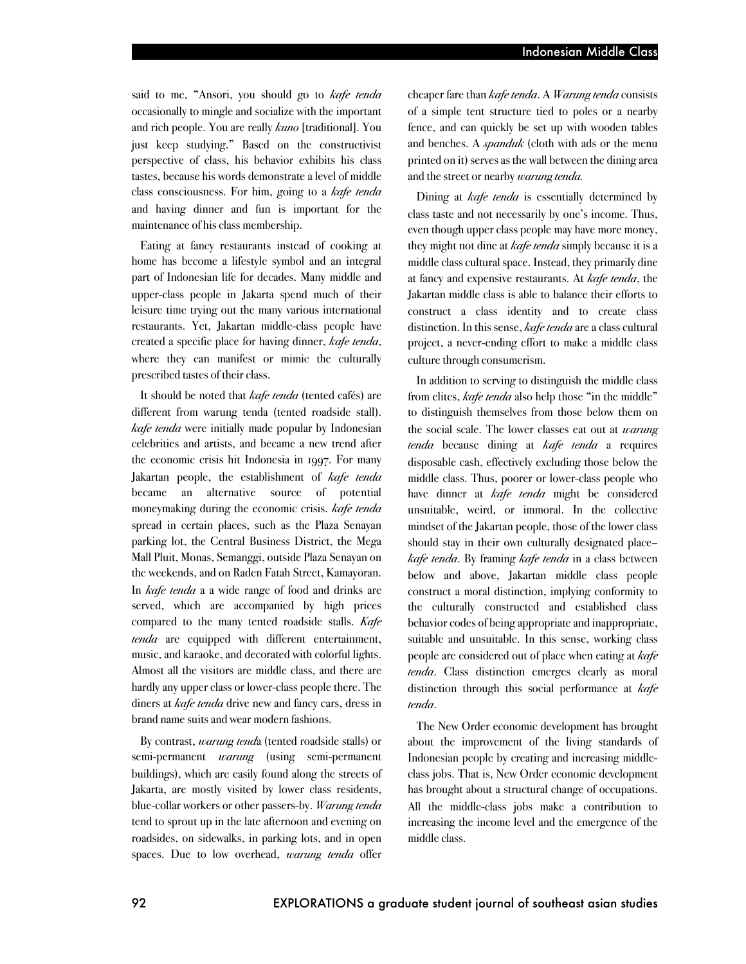said to me, "Ansori, you should go to *kafe tenda* occasionally to mingle and socialize with the important and rich people. You are really *kuno* [traditional]. You just keep studying." Based on the constructivist perspective of class, his behavior exhibits his class tastes, because his words demonstrate a level of middle class consciousness. For him, going to a *kafe tenda* and having dinner and fun is important for the maintenance of his class membership.

Eating at fancy restaurants instead of cooking at home has become a lifestyle symbol and an integral part of Indonesian life for decades. Many middle and upper-class people in Jakarta spend much of their leisure time trying out the many various international restaurants. Yet, Jakartan middle-class people have created a specific place for having dinner, *kafe tenda*, where they can manifest or mimic the culturally prescribed tastes of their class.

It should be noted that *kafe tenda* (tented cafés) are different from warung tenda (tented roadside stall). *kafe tenda* were initially made popular by Indonesian celebrities and artists, and became a new trend after the economic crisis hit Indonesia in 1997. For many Jakartan people, the establishment of *kafe tenda* became an alternative source of potential moneymaking during the economic crisis. *kafe tenda* spread in certain places, such as the Plaza Senayan parking lot, the Central Business District, the Mega Mall Pluit, Monas, Semanggi, outside Plaza Senayan on the weekends, and on Raden Fatah Street, Kamayoran. In *kafe tenda* a a wide range of food and drinks are served, which are accompanied by high prices compared to the many tented roadside stalls. *Kafe tenda* are equipped with different entertainment, music, and karaoke, and decorated with colorful lights. Almost all the visitors are middle class, and there are hardly any upper class or lower-class people there. The diners at *kafe tenda* drive new and fancy cars, dress in brand name suits and wear modern fashions.

By contrast, *warung tend*a (tented roadside stalls) or semi-permanent *warung* (using semi-permanent buildings), which are easily found along the streets of Jakarta, are mostly visited by lower class residents, blue-collar workers or other passers-by. *Warung tenda* tend to sprout up in the late afternoon and evening on roadsides, on sidewalks, in parking lots, and in open spaces. Due to low overhead, *warung tenda* offer

cheaper fare than *kafe tenda*. A *Warung tenda* consists of a simple tent structure tied to poles or a nearby fence, and can quickly be set up with wooden tables and benches. A *spanduk* (cloth with ads or the menu printed on it) servesas the wall between the dining area and the street or nearby *warung tenda.*

Dining at *kafe tenda* is essentially determined by class taste and not necessarily by one's income. Thus, even though upper class people may have more money, they might not dine at *kafe tenda* simply because it is a middle class cultural space. Instead, they primarily dine at fancy and expensive restaurants. At *kafe tenda*, the Jakartan middle class is able to balance their efforts to construct a class identity and to create class distinction. In this sense, *kafe tenda* are a class cultural project, a never-ending effort to make a middle class culture through consumerism.

In addition to serving to distinguish the middle class from elites, *kafe tenda* also help those "in the middle" to distinguish themselves from those below them on the social scale. The lower classes eat out at *warung tenda* because dining at *kafe tenda* a requires disposable cash, effectively excluding those below the middle class. Thus, poorer or lower-class people who have dinner at *kafe tenda* might be considered unsuitable, weird, or immoral. In the collective mindset of the Jakartan people, those of the lower class should stay in their own culturally designated place– *kafe tenda*. By framing *kafe tenda* in a class between below and above, Jakartan middle class people construct a moral distinction, implying conformity to the culturally constructed and established class behavior codes of being appropriate and inappropriate, suitable and unsuitable. In this sense, working class people are considered out of place when eating at *kafe tenda*. Class distinction emerges clearly as moral distinction through this social performance at *kafe tenda*.

The New Order economic development has brought about the improvement of the living standards of Indonesian people by creating and increasing middleclass jobs. That is, New Order economic development has brought about a structural change of occupations. All the middle-class jobs make a contribution to increasing the income level and the emergence of the middle class.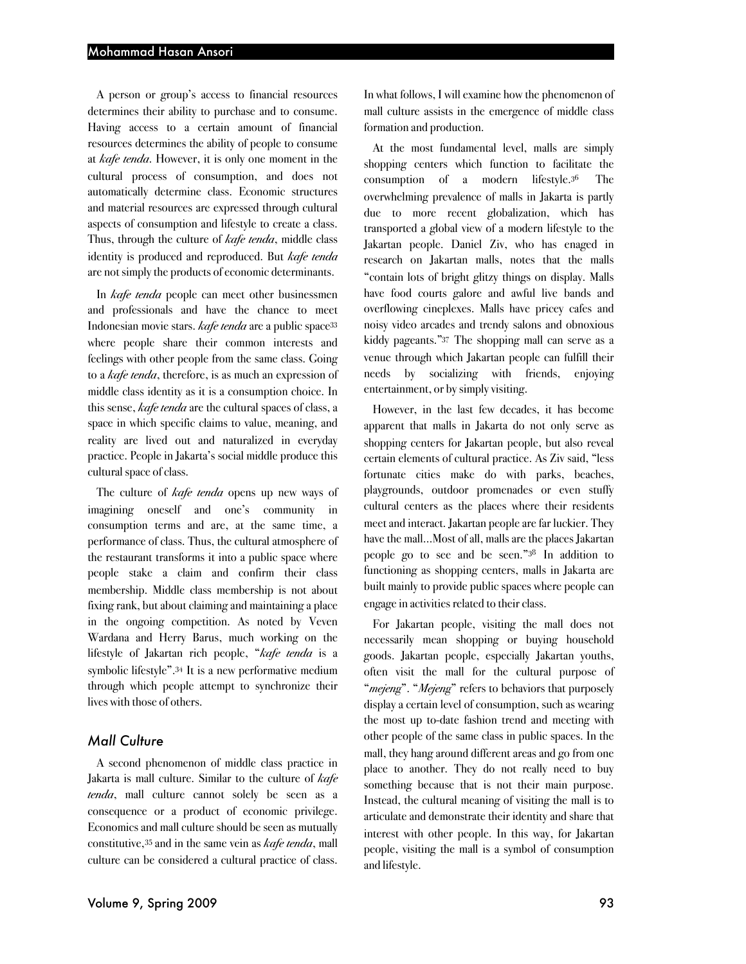A person or group's access to financial resources determines their ability to purchase and to consume. Having access to a certain amount of financial resources determines the ability of people to consume at *kafe tenda*. However, it is only one moment in the cultural process of consumption, and does not automatically determine class. Economic structures and material resources are expressed through cultural aspects of consumption and lifestyle to create a class. Thus, through the culture of *kafe tenda*, middle class identity is produced and reproduced. But *kafe tenda* are not simply the products of economic determinants.

In *kafe tenda* people can meet other businessmen and professionals and have the chance to meet Indonesian movie stars. *kafe tenda* are a public space33 where people share their common interests and feelings with other people from the same class. Going to a *kafe tenda*, therefore, is as much an expression of middle class identity as it is a consumption choice. In this sense, *kafe tenda* are the cultural spaces of class, a space in which specific claims to value, meaning, and reality are lived out and naturalized in everyday practice. People in Jakarta's social middle produce this cultural space of class.

The culture of *kafe tenda* opens up new ways of imagining oneself and one's community in consumption terms and are, at the same time, a performance of class. Thus, the cultural atmosphere of the restaurant transforms it into a public space where people stake a claim and confirm their class membership. Middle class membership is not about fixing rank, but about claiming and maintaining a place in the ongoing competition. As noted by Veven Wardana and Herry Barus, much working on the lifestyle of Jakartan rich people, "*kafe tenda* is a symbolic lifestyle".34 It is a new performative medium through which people attempt to synchronize their lives with those of others.

## *Mall Culture*

A second phenomenon of middle class practice in Jakarta is mall culture. Similar to the culture of *kafe tenda*, mall culture cannot solely be seen as a consequence or a product of economic privilege. Economics and mall culture should be seen as mutually constitutive,35 and in the same vein as *kafe tenda*, mall culture can be considered a cultural practice of class.

In what follows, I will examine how the phenomenon of mall culture assists in the emergence of middle class formation and production.

At the most fundamental level, malls are simply shopping centers which function to facilitate the consumption of a modern lifestyle. The overwhelming prevalence of malls in Jakarta is partly due to more recent globalization, which has transported a global view of a modern lifestyle to the Jakartan people. Daniel Ziv, who has enaged in research on Jakartan malls, notes that the malls "contain lots of bright glitzy things on display. Malls have food courts galore and awful live bands and overflowing cineplexes. Malls have pricey cafes and noisy video arcades and trendy salons and obnoxious kiddy pageants."37 The shopping mall can serve as a venue through which Jakartan people can fulfill their needs by socializing with friends, enjoying entertainment, or by simply visiting.

However, in the last few decades, it has become apparent that malls in Jakarta do not only serve as shopping centers for Jakartan people, but also reveal certain elements of cultural practice. As Ziv said, "less fortunate cities make do with parks, beaches, playgrounds, outdoor promenades or even stuffy cultural centers as the places where their residents meet and interact. Jakartan people are far luckier. They have the mall…Most of all, malls are the places Jakartan people go to see and be seen."38 In addition to functioning as shopping centers, malls in Jakarta are built mainly to provide public spaces where people can engage in activities related to their class.

For Jakartan people, visiting the mall does not necessarily mean shopping or buying household goods. Jakartan people, especially Jakartan youths, often visit the mall for the cultural purpose of "*mejeng*". "*Mejeng*" refers to behaviors that purposely display a certain level of consumption, such as wearing the most up to-date fashion trend and meeting with other people of the same class in public spaces. In the mall, they hang around different areas and go from one place to another. They do not really need to buy something because that is not their main purpose. Instead, the cultural meaning of visiting the mall is to articulate and demonstrate their identity and share that interest with other people. In this way, for Jakartan people, visiting the mall is a symbol of consumption and lifestyle.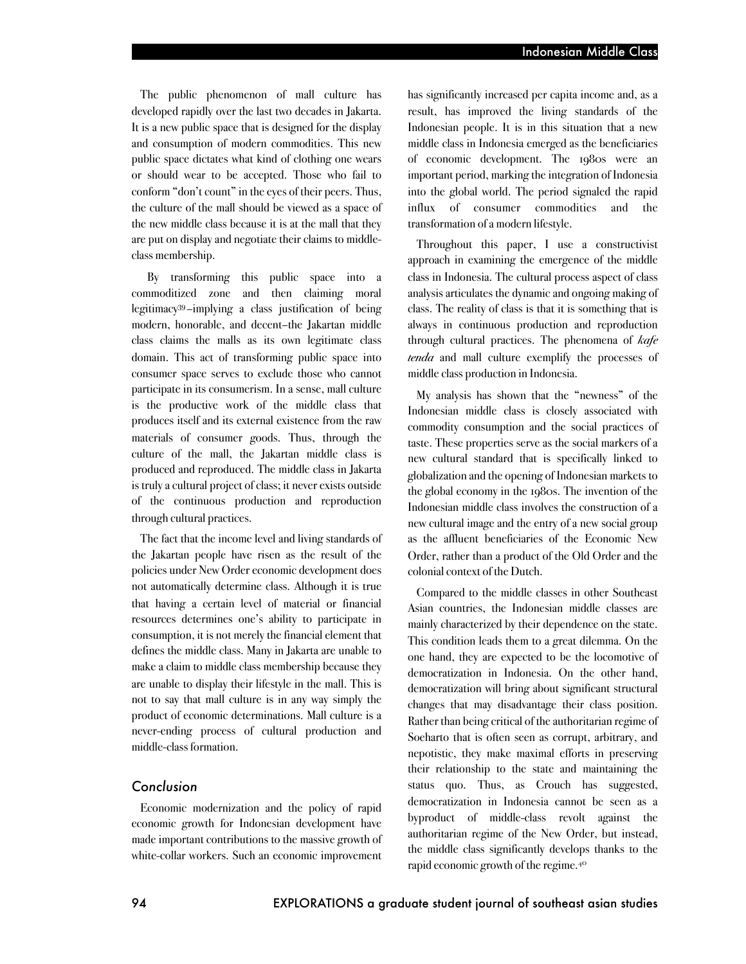The public phenomenon of mall culture has developed rapidly over the last two decades in Jakarta. It is a new public space that is designed for the display and consumption of modern commodities. This new public space dictates what kind of clothing one wears or should wear to be accepted. Those who fail to conform "don't count" in the eyes of their peers. Thus, the culture of the mall should be viewed as a space of the new middle class because it is at the mall that they are put on display and negotiate their claims to middleclass membership.

By transforming this public space into a commoditized zone and then claiming moral legitimacy39–implying a class justification of being modern, honorable, and decent–the Jakartan middle class claims the malls as its own legitimate class domain. This act of transforming public space into consumer space serves to exclude those who cannot participate in its consumerism. In a sense, mall culture is the productive work of the middle class that produces itself and its external existence from the raw materials of consumer goods. Thus, through the culture of the mall, the Jakartan middle class is produced and reproduced. The middle class in Jakarta is truly a cultural project of class; it never exists outside of the continuous production and reproduction through cultural practices.

The fact that the income level and living standards of the Jakartan people have risen as the result of the policies under New Order economic development does not automatically determine class. Although it is true that having a certain level of material or financial resources determines one's ability to participate in consumption, it is not merely the financial element that defines the middle class. Many in Jakarta are unable to make a claim to middle class membership because they are unable to display their lifestyle in the mall. This is not to say that mall culture is in any way simply the product of economic determinations. Mall culture is a never-ending process of cultural production and middle-class formation.

### *Conclusion*

Economic modernization and the policy of rapid economic growth for Indonesian development have made important contributions to the massive growth of white-collar workers. Such an economic improvement

has significantly increased per capita income and, as a result, has improved the living standards of the Indonesian people. It is in this situation that a new middle class in Indonesia emerged as the beneficiaries of economic development. The 1980s were an important period, marking the integration of Indonesia into the global world. The period signaled the rapid influx of consumer commodities and the transformation of a modern lifestyle.

Throughout this paper, I use a constructivist approach in examining the emergence of the middle class in Indonesia. The cultural process aspect of class analysis articulates the dynamic and ongoing making of class. The reality of class is that it is something that is always in continuous production and reproduction through cultural practices. The phenomena of *kafe tenda* and mall culture exemplify the processes of middle class production in Indonesia.

My analysis has shown that the "newness" of the Indonesian middle class is closely associated with commodity consumption and the social practices of taste. These properties serve as the social markers of a new cultural standard that is specifically linked to globalization and the opening of Indonesian markets to the global economy in the 1980s. The invention of the Indonesian middle class involves the construction of a new cultural image and the entry of a new social group as the affluent beneficiaries of the Economic New Order, rather than a product of the Old Order and the colonial context of the Dutch.

Compared to the middle classes in other Southeast Asian countries, the Indonesian middle classes are mainly characterized by their dependence on the state. This condition leads them to a great dilemma. On the one hand, they are expected to be the locomotive of democratization in Indonesia. On the other hand, democratization will bring about significant structural changes that may disadvantage their class position. Rather than being critical of the authoritarian regime of Soeharto that is often seen as corrupt, arbitrary, and nepotistic, they make maximal efforts in preserving their relationship to the state and maintaining the status quo. Thus, as Crouch has suggested, democratization in Indonesia cannot be seen as a byproduct of middle-class revolt against the authoritarian regime of the New Order, but instead, the middle class significantly develops thanks to the rapid economic growth of the regime.40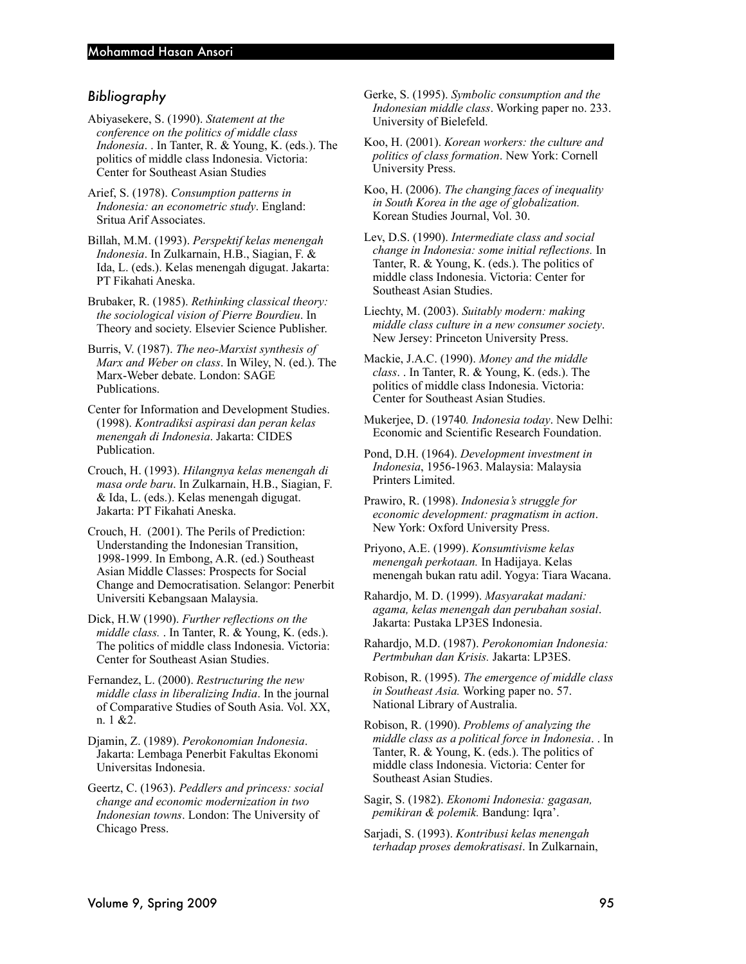# *Bibliography*

- Abiyasekere, S. (1990). *Statement at the conference on the politics of middle class Indonesia*. . In Tanter, R. & Young, K. (eds.). The politics of middle class Indonesia. Victoria: Center for Southeast Asian Studies
- Arief, S. (1978). *Consumption patterns in Indonesia: an econometric study*. England: Sritua Arif Associates.
- Billah, M.M. (1993). *Perspektif kelas menengah Indonesia*. In Zulkarnain, H.B., Siagian, F. & Ida, L. (eds.). Kelas menengah digugat. Jakarta: PT Fikahati Aneska.
- Brubaker, R. (1985). *Rethinking classical theory: the sociological vision of Pierre Bourdieu*. In Theory and society. Elsevier Science Publisher.
- Burris, V. (1987). *The neo-Marxist synthesis of Marx and Weber on class*. In Wiley, N. (ed.). The Marx-Weber debate. London: SAGE Publications.
- Center for Information and Development Studies. (1998). *Kontradiksi aspirasi dan peran kelas menengah di Indonesia*. Jakarta: CIDES Publication.
- Crouch, H. (1993). *Hilangnya kelas menengah di masa orde baru*. In Zulkarnain, H.B., Siagian, F. & Ida, L. (eds.). Kelas menengah digugat. Jakarta: PT Fikahati Aneska.
- Crouch, H. (2001). The Perils of Prediction: Understanding the Indonesian Transition, 1998-1999. In Embong, A.R. (ed.) Southeast Asian Middle Classes: Prospects for Social Change and Democratisation. Selangor: Penerbit Universiti Kebangsaan Malaysia.
- Dick, H.W (1990). *Further reflections on the middle class.* . In Tanter, R. & Young, K. (eds.). The politics of middle class Indonesia. Victoria: Center for Southeast Asian Studies.
- Fernandez, L. (2000). *Restructuring the new middle class in liberalizing India*. In the journal of Comparative Studies of South Asia. Vol. XX, n. 1 &2.
- Djamin, Z. (1989). *Perokonomian Indonesia*. Jakarta: Lembaga Penerbit Fakultas Ekonomi Universitas Indonesia.
- Geertz, C. (1963). *Peddlers and princess: social change and economic modernization in two Indonesian towns*. London: The University of Chicago Press.
- Gerke, S. (1995). *Symbolic consumption and the Indonesian middle class*. Working paper no. 233. University of Bielefeld.
- Koo, H. (2001). *Korean workers: the culture and politics of class formation*. New York: Cornell University Press.
- Koo, H. (2006). *The changing faces of inequality in South Korea in the age of globalization.* Korean Studies Journal, Vol. 30.
- Lev, D.S. (1990). *Intermediate class and social change in Indonesia: some initial reflections.* In Tanter, R. & Young, K. (eds.). The politics of middle class Indonesia. Victoria: Center for Southeast Asian Studies.
- Liechty, M. (2003). *Suitably modern: making middle class culture in a new consumer society*. New Jersey: Princeton University Press.
- Mackie, J.A.C. (1990). *Money and the middle class*. . In Tanter, R. & Young, K. (eds.). The politics of middle class Indonesia. Victoria: Center for Southeast Asian Studies.
- Mukerjee, D. (19740*. Indonesia today*. New Delhi: Economic and Scientific Research Foundation.
- Pond, D.H. (1964). *Development investment in Indonesia*, 1956-1963. Malaysia: Malaysia Printers Limited.
- Prawiro, R. (1998). *Indonesia's struggle for economic development: pragmatism in action*. New York: Oxford University Press.
- Priyono, A.E. (1999). *Konsumtivisme kelas menengah perkotaan.* In Hadijaya. Kelas menengah bukan ratu adil. Yogya: Tiara Wacana.
- Rahardjo, M. D. (1999). *Masyarakat madani: agama, kelas menengah dan perubahan sosial*. Jakarta: Pustaka LP3ES Indonesia.
- Rahardjo, M.D. (1987). *Perokonomian Indonesia: Pertmbuhan dan Krisis.* Jakarta: LP3ES.
- Robison, R. (1995). *The emergence of middle class in Southeast Asia.* Working paper no. 57. National Library of Australia.
- Robison, R. (1990). *Problems of analyzing the middle class as a political force in Indonesia*. . In Tanter, R. & Young, K. (eds.). The politics of middle class Indonesia. Victoria: Center for Southeast Asian Studies.
- Sagir, S. (1982). *Ekonomi Indonesia: gagasan, pemikiran & polemik.* Bandung: Iqra'.
- Sarjadi, S. (1993). *Kontribusi kelas menengah terhadap proses demokratisasi*. In Zulkarnain,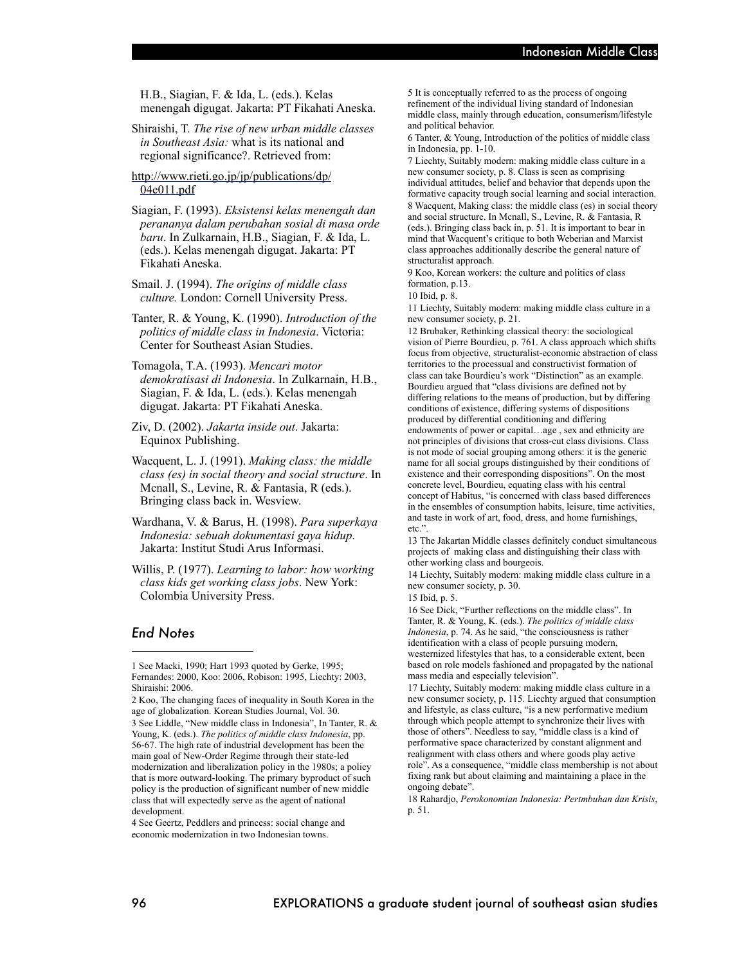H.B., Siagian, F. & Ida, L. (eds.). Kelas menengah digugat. Jakarta: PT Fikahati Aneska.

Shiraishi, T. *The rise of new urban middle classes in Southeast Asia:* what is its national and regional significance?. Retrieved from:

http://www.rieti.go.jp/jp/publications/dp/ 04e011.pdf

Siagian, F. (1993). *Eksistensi kelas menengah dan perananya dalam perubahan sosial di masa orde baru*. In Zulkarnain, H.B., Siagian, F. & Ida, L. (eds.). Kelas menengah digugat. Jakarta: PT Fikahati Aneska.

Smail. J. (1994). *The origins of middle class culture.* London: Cornell University Press.

Tanter, R. & Young, K. (1990). *Introduction of the politics of middle class in Indonesia*. Victoria: Center for Southeast Asian Studies.

Tomagola, T.A. (1993). *Mencari motor demokratisasi di Indonesia*. In Zulkarnain, H.B., Siagian, F. & Ida, L. (eds.). Kelas menengah digugat. Jakarta: PT Fikahati Aneska.

Ziv, D. (2002). *Jakarta inside out*. Jakarta: Equinox Publishing.

Wacquent, L. J. (1991). *Making class: the middle class (es) in social theory and social structure*. In Mcnall, S., Levine, R. & Fantasia, R (eds.). Bringing class back in. Wesview.

Wardhana, V. & Barus, H. (1998). *Para superkaya Indonesia: sebuah dokumentasi gaya hidup*. Jakarta: Institut Studi Arus Informasi.

Willis, P. (1977). *Learning to labor: how working class kids get working class jobs*. New York: Colombia University Press.

#### *End Notes*

2 Koo, The changing faces of inequality in South Korea in the age of globalization. Korean Studies Journal, Vol. 30. 3 See Liddle, "New middle class in Indonesia", In Tanter, R. & Young, K. (eds.). *The politics of middle class Indonesia*, pp. 56-67. The high rate of industrial development has been the main goal of New-Order Regime through their state-led modernization and liberalization policy in the 1980s; a policy that is more outward-looking. The primary byproduct of such policy is the production of significant number of new middle class that will expectedly serve as the agent of national development.

4 See Geertz, Peddlers and princess: social change and economic modernization in two Indonesian towns.

5 It is conceptually referred to as the process of ongoing refinement of the individual living standard of Indonesian middle class, mainly through education, consumerism/lifestyle and political behavior.

6 Tanter, & Young, Introduction of the politics of middle class in Indonesia, pp. 1-10.

7 Liechty, Suitably modern: making middle class culture in a new consumer society, p. 8. Class is seen as comprising individual attitudes, belief and behavior that depends upon the formative capacity trough social learning and social interaction. 8 Wacquent, Making class: the middle class (es) in social theory and social structure. In Mcnall, S., Levine, R. & Fantasia, R (eds.). Bringing class back in, p. 51. It is important to bear in mind that Wacquent's critique to both Weberian and Marxist class approaches additionally describe the general nature of structuralist approach.

9 Koo, Korean workers: the culture and politics of class formation, p.13.

10 Ibid, p. 8.

11 Liechty, Suitably modern: making middle class culture in a new consumer society, p. 21.

12 Brubaker, Rethinking classical theory: the sociological vision of Pierre Bourdieu, p. 761. A class approach which shifts focus from objective, structuralist-economic abstraction of class territories to the processual and constructivist formation of class can take Bourdieu's work "Distinction" as an example. Bourdieu argued that "class divisions are defined not by differing relations to the means of production, but by differing conditions of existence, differing systems of dispositions produced by differential conditioning and differing endowments of power or capital…age , sex and ethnicity are not principles of divisions that cross-cut class divisions. Class is not mode of social grouping among others: it is the generic name for all social groups distinguished by their conditions of existence and their corresponding dispositions". On the most concrete level, Bourdieu, equating class with his central concept of Habitus, "is concerned with class based differences in the ensembles of consumption habits, leisure, time activities, and taste in work of art, food, dress, and home furnishings, etc.".

13 The Jakartan Middle classes definitely conduct simultaneous projects of making class and distinguishing their class with other working class and bourgeois.

14 Liechty, Suitably modern: making middle class culture in a new consumer society, p. 30.

15 Ibid, p. 5.

16 See Dick, "Further reflections on the middle class". In Tanter, R. & Young, K. (eds.). *The politics of middle class Indonesia*, p. 74. As he said, "the consciousness is rather identification with a class of people pursuing modern, westernized lifestyles that has, to a considerable extent, been based on role models fashioned and propagated by the national mass media and especially television".

17 Liechty, Suitably modern: making middle class culture in a new consumer society, p. 115. Liechty argued that consumption and lifestyle, as class culture, "is a new performative medium through which people attempt to synchronize their lives with those of others". Needless to say, "middle class is a kind of performative space characterized by constant alignment and realignment with class others and where goods play active role". As a consequence, "middle class membership is not about fixing rank but about claiming and maintaining a place in the ongoing debate".

18 Rahardjo, *Perokonomian Indonesia: Pertmbuhan dan Krisis*, p. 51.

<sup>1</sup> See Macki, 1990; Hart 1993 quoted by Gerke, 1995; Fernandes: 2000, Koo: 2006, Robison: 1995, Liechty: 2003, Shiraishi: 2006.